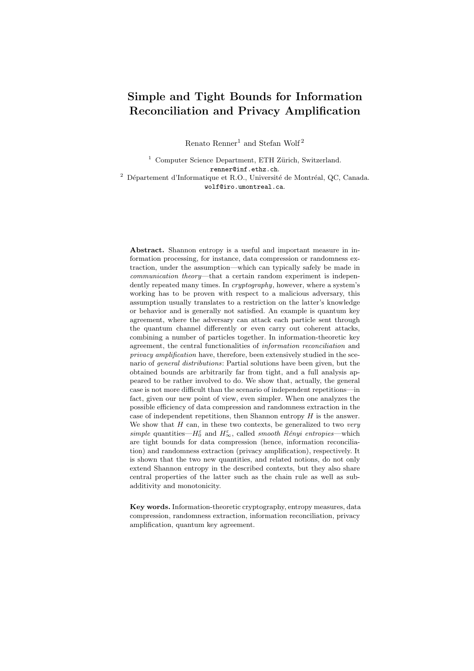# Simple and Tight Bounds for Information Reconciliation and Privacy Amplification

Renato Renner<sup>1</sup> and Stefan Wolf<sup>2</sup>

 $1$  Computer Science Department, ETH Zürich, Switzerland. renner@inf.ethz.ch.  $2$  Département d'Informatique et R.O., Université de Montréal, QC, Canada. wolf@iro.umontreal.ca.

Abstract. Shannon entropy is a useful and important measure in information processing, for instance, data compression or randomness extraction, under the assumption—which can typically safely be made in communication theory—that a certain random experiment is independently repeated many times. In *cryptography*, however, where a system's working has to be proven with respect to a malicious adversary, this assumption usually translates to a restriction on the latter's knowledge or behavior and is generally not satisfied. An example is quantum key agreement, where the adversary can attack each particle sent through the quantum channel differently or even carry out coherent attacks, combining a number of particles together. In information-theoretic key agreement, the central functionalities of information reconciliation and privacy amplification have, therefore, been extensively studied in the scenario of general distributions: Partial solutions have been given, but the obtained bounds are arbitrarily far from tight, and a full analysis appeared to be rather involved to do. We show that, actually, the general case is not more difficult than the scenario of independent repetitions—in fact, given our new point of view, even simpler. When one analyzes the possible efficiency of data compression and randomness extraction in the case of independent repetitions, then Shannon entropy  $H$  is the answer. We show that  $H$  can, in these two contexts, be generalized to two very simple quantities— $H_0^{\varepsilon}$  and  $H_{\infty}^{\varepsilon}$ , called smooth Rényi entropies—which are tight bounds for data compression (hence, information reconciliation) and randomness extraction (privacy amplification), respectively. It is shown that the two new quantities, and related notions, do not only extend Shannon entropy in the described contexts, but they also share central properties of the latter such as the chain rule as well as subadditivity and monotonicity.

Key words. Information-theoretic cryptography, entropy measures, data compression, randomness extraction, information reconciliation, privacy amplification, quantum key agreement.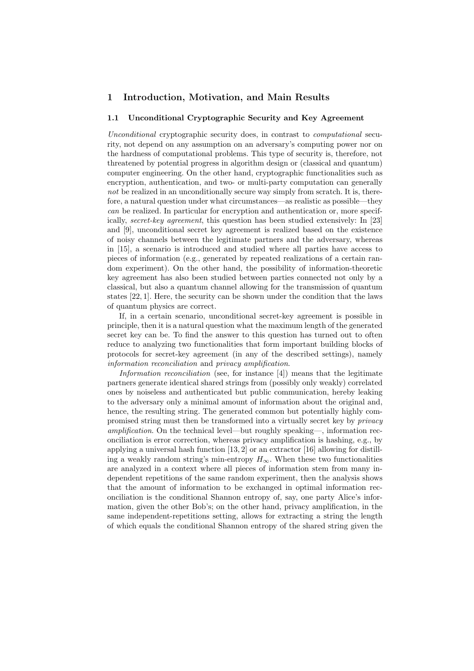# 1 Introduction, Motivation, and Main Results

#### 1.1 Unconditional Cryptographic Security and Key Agreement

Unconditional cryptographic security does, in contrast to computational security, not depend on any assumption on an adversary's computing power nor on the hardness of computational problems. This type of security is, therefore, not threatened by potential progress in algorithm design or (classical and quantum) computer engineering. On the other hand, cryptographic functionalities such as encryption, authentication, and two- or multi-party computation can generally not be realized in an unconditionally secure way simply from scratch. It is, therefore, a natural question under what circumstances—as realistic as possible—they can be realized. In particular for encryption and authentication or, more specifically, secret-key agreement, this question has been studied extensively: In [23] and [9], unconditional secret key agreement is realized based on the existence of noisy channels between the legitimate partners and the adversary, whereas in [15], a scenario is introduced and studied where all parties have access to pieces of information (e.g., generated by repeated realizations of a certain random experiment). On the other hand, the possibility of information-theoretic key agreement has also been studied between parties connected not only by a classical, but also a quantum channel allowing for the transmission of quantum states [22, 1]. Here, the security can be shown under the condition that the laws of quantum physics are correct.

If, in a certain scenario, unconditional secret-key agreement is possible in principle, then it is a natural question what the maximum length of the generated secret key can be. To find the answer to this question has turned out to often reduce to analyzing two functionalities that form important building blocks of protocols for secret-key agreement (in any of the described settings), namely information reconciliation and privacy amplification.

Information reconciliation (see, for instance  $[4]$ ) means that the legitimate partners generate identical shared strings from (possibly only weakly) correlated ones by noiseless and authenticated but public communication, hereby leaking to the adversary only a minimal amount of information about the original and, hence, the resulting string. The generated common but potentially highly compromised string must then be transformed into a virtually secret key by privacy amplification. On the technical level—but roughly speaking—, information reconciliation is error correction, whereas privacy amplification is hashing, e.g., by applying a universal hash function [13, 2] or an extractor [16] allowing for distilling a weakly random string's min-entropy  $H_{\infty}$ . When these two functionalities are analyzed in a context where all pieces of information stem from many independent repetitions of the same random experiment, then the analysis shows that the amount of information to be exchanged in optimal information reconciliation is the conditional Shannon entropy of, say, one party Alice's information, given the other Bob's; on the other hand, privacy amplification, in the same independent-repetitions setting, allows for extracting a string the length of which equals the conditional Shannon entropy of the shared string given the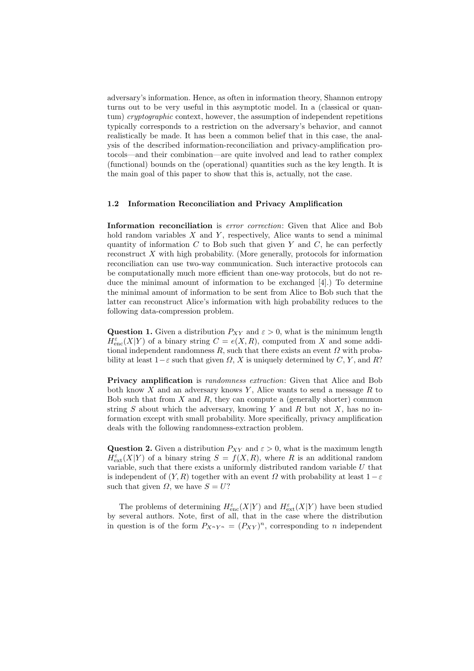adversary's information. Hence, as often in information theory, Shannon entropy turns out to be very useful in this asymptotic model. In a (classical or quantum) cryptographic context, however, the assumption of independent repetitions typically corresponds to a restriction on the adversary's behavior, and cannot realistically be made. It has been a common belief that in this case, the analysis of the described information-reconciliation and privacy-amplification protocols—and their combination—are quite involved and lead to rather complex (functional) bounds on the (operational) quantities such as the key length. It is the main goal of this paper to show that this is, actually, not the case.

#### 1.2 Information Reconciliation and Privacy Amplification

Information reconciliation is *error correction*: Given that Alice and Bob hold random variables  $X$  and  $Y$ , respectively, Alice wants to send a minimal quantity of information  $C$  to Bob such that given  $Y$  and  $C$ , he can perfectly reconstruct X with high probability. (More generally, protocols for information reconciliation can use two-way communication. Such interactive protocols can be computationally much more efficient than one-way protocols, but do not reduce the minimal amount of information to be exchanged [4].) To determine the minimal amount of information to be sent from Alice to Bob such that the latter can reconstruct Alice's information with high probability reduces to the following data-compression problem.

Question 1. Given a distribution  $P_{XY}$  and  $\varepsilon > 0$ , what is the minimum length  $H_{\text{enc}}^{\varepsilon}(X|Y)$  of a binary string  $C = e(X, R)$ , computed from X and some additional independent randomness R, such that there exists an event  $\Omega$  with probability at least  $1-\varepsilon$  such that given  $\Omega$ , X is uniquely determined by C, Y, and R?

Privacy amplification is randomness extraction: Given that Alice and Bob both know  $X$  and an adversary knows  $Y$ , Alice wants to send a message  $R$  to Bob such that from  $X$  and  $R$ , they can compute a (generally shorter) common string S about which the adversary, knowing Y and R but not X, has no information except with small probability. More specifically, privacy amplification deals with the following randomness-extraction problem.

**Question 2.** Given a distribution  $P_{XY}$  and  $\varepsilon > 0$ , what is the maximum length  $H_{\text{ext}}^{\varepsilon}(X|Y)$  of a binary string  $S = f(X,R)$ , where R is an additional random variable, such that there exists a uniformly distributed random variable  $U$  that is independent of  $(Y, R)$  together with an event  $\Omega$  with probability at least  $1-\varepsilon$ such that given  $\Omega$ , we have  $S = U$ ?

The problems of determining  $H_{\text{enc}}^{\varepsilon}(X|Y)$  and  $H_{\text{ext}}^{\varepsilon}(X|Y)$  have been studied by several authors. Note, first of all, that in the case where the distribution in question is of the form  $P_{X^nY^n} = (P_{XY})^n$ , corresponding to *n* independent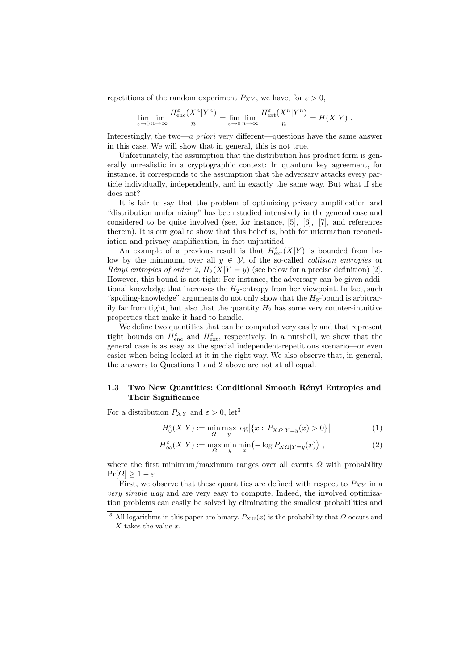repetitions of the random experiment  $P_{XY}$ , we have, for  $\varepsilon > 0$ ,

$$
\lim_{\varepsilon \to 0} \lim_{n \to \infty} \frac{H_{\text{enc}}^{\varepsilon}(X^n | Y^n)}{n} = \lim_{\varepsilon \to 0} \lim_{n \to \infty} \frac{H_{\text{ext}}^{\varepsilon}(X^n | Y^n)}{n} = H(X | Y) .
$$

Interestingly, the two—a priori very different—questions have the same answer in this case. We will show that in general, this is not true.

Unfortunately, the assumption that the distribution has product form is generally unrealistic in a cryptographic context: In quantum key agreement, for instance, it corresponds to the assumption that the adversary attacks every particle individually, independently, and in exactly the same way. But what if she does not?

It is fair to say that the problem of optimizing privacy amplification and "distribution uniformizing" has been studied intensively in the general case and considered to be quite involved (see, for instance, [5], [6], [7], and references therein). It is our goal to show that this belief is, both for information reconciliation and privacy amplification, in fact unjustified.

An example of a previous result is that  $H_{ext}^{\varepsilon}(X|Y)$  is bounded from below by the minimum, over all  $y \in \mathcal{Y}$ , of the so-called *collision entropies* or Rényi entropies of order 2,  $H_2(X|Y=y)$  (see below for a precise definition) [2]. However, this bound is not tight: For instance, the adversary can be given additional knowledge that increases the  $H_2$ -entropy from her viewpoint. In fact, such "spoiling-knowledge" arguments do not only show that the  $H_2$ -bound is arbitrarily far from tight, but also that the quantity  $H_2$  has some very counter-intuitive properties that make it hard to handle.

We define two quantities that can be computed very easily and that represent tight bounds on  $H_{\text{enc}}^{\varepsilon}$  and  $H_{\text{ext}}^{\varepsilon}$ , respectively. In a nutshell, we show that the general case is as easy as the special independent-repetitions scenario—or even easier when being looked at it in the right way. We also observe that, in general, the answers to Questions 1 and 2 above are not at all equal.

## 1.3 Two New Quantities: Conditional Smooth Rényi Entropies and Their Significance

For a distribution  $P_{XY}$  and  $\varepsilon > 0$ , let<sup>3</sup>

$$
H_0^{\varepsilon}(X|Y) := \min_{\Omega} \max_{y} \log \left| \{ x : P_{X\Omega|Y=y}(x) > 0 \} \right| \tag{1}
$$

$$
H_{\infty}^{\varepsilon}(X|Y) := \max_{\Omega} \min_{y} \min_{x} \left( -\log P_{X\Omega|Y=y}(x) \right) , \qquad (2)
$$

where the first minimum/maximum ranges over all events  $\Omega$  with probability  $Pr[\Omega] \geq 1 - \varepsilon$ .

First, we observe that these quantities are defined with respect to  $P_{XY}$  in a very simple way and are very easy to compute. Indeed, the involved optimization problems can easily be solved by eliminating the smallest probabilities and

<sup>&</sup>lt;sup>3</sup> All logarithms in this paper are binary.  $P_{XQ}(x)$  is the probability that  $\Omega$  occurs and  $X$  takes the value  $x$ .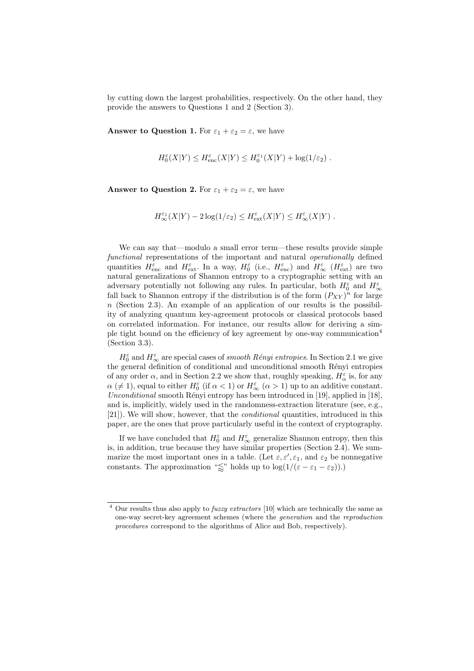by cutting down the largest probabilities, respectively. On the other hand, they provide the answers to Questions 1 and 2 (Section 3).

**Answer to Question 1.** For  $\varepsilon_1 + \varepsilon_2 = \varepsilon$ , we have

$$
H_0^{\varepsilon}(X|Y) \le H_{\text{enc}}^{\varepsilon}(X|Y) \le H_0^{\varepsilon_1}(X|Y) + \log(1/\varepsilon_2) .
$$

**Answer to Question 2.** For  $\varepsilon_1 + \varepsilon_2 = \varepsilon$ , we have

$$
H^{\varepsilon_1}_\infty(X|Y) - 2\log(1/\varepsilon_2) \leq H^{\varepsilon}_\text{ext}(X|Y) \leq H^{\varepsilon}_\infty(X|Y) .
$$

We can say that—modulo a small error term—these results provide simple functional representations of the important and natural operationally defined quantities  $H_{\text{enc}}^{\varepsilon}$  and  $H_{\text{ext}}^{\varepsilon}$ . In a way,  $H_0^{\varepsilon}$  (i.e.,  $H_{\text{enc}}^{\varepsilon}$ ) and  $H_{\infty}^{\varepsilon}$  ( $H_{\text{ext}}^{\varepsilon}$ ) are two natural generalizations of Shannon entropy to a cryptographic setting with an adversary potentially not following any rules. In particular, both  $H_0^\varepsilon$  and  $H_\infty^\varepsilon$ fall back to Shannon entropy if the distribution is of the form  $(P_{XY})^n$  for large  $n$  (Section 2.3). An example of an application of our results is the possibility of analyzing quantum key-agreement protocols or classical protocols based on correlated information. For instance, our results allow for deriving a simple tight bound on the efficiency of key agreement by one-way communication<sup>4</sup> (Section 3.3).

 $H_0^\varepsilon$  and  $H_\infty^\varepsilon$  are special cases of *smooth Rényi entropies*. In Section 2.1 we give the general definition of conditional and unconditional smooth Rényi entropies of any order  $\alpha$ , and in Section 2.2 we show that, roughly speaking,  $H_{\alpha}^{\varepsilon}$  is, for any  $\alpha \ (\neq 1)$ , equal to either  $H_0^{\varepsilon}$  (if  $\alpha < 1$ ) or  $H_{\infty}^{\varepsilon}$  ( $\alpha > 1$ ) up to an additive constant. Unconditional smooth Rényi entropy has been introduced in [19], applied in [18], and is, implicitly, widely used in the randomness-extraction literature (see, e.g., [21]). We will show, however, that the conditional quantities, introduced in this paper, are the ones that prove particularly useful in the context of cryptography.

If we have concluded that  $H_0^\varepsilon$  and  $H_\infty^\varepsilon$  generalize Shannon entropy, then this is, in addition, true because they have similar properties (Section 2.4). We summarize the most important ones in a table. (Let  $\varepsilon, \varepsilon', \varepsilon_1$ , and  $\varepsilon_2$  be nonnegative constants. The approximation " $\lessapprox$ " holds up to log(1/( $\varepsilon - \varepsilon_1 - \varepsilon_2$ )).)

 $4$  Our results thus also apply to *fuzzy extractors* [10] which are technically the same as one-way secret-key agreement schemes (where the generation and the reproduction procedures correspond to the algorithms of Alice and Bob, respectively).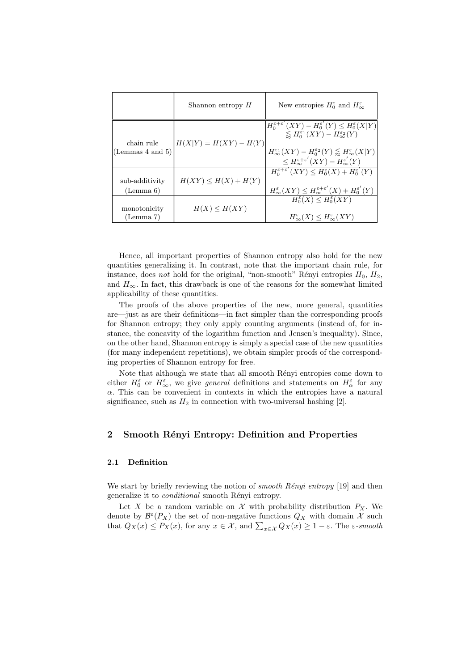|                                     | Shannon entropy $H$      | New entropies $H_0^{\varepsilon}$ and $H_{\infty}^{\varepsilon}$                                                                                                                                                                                                                                                                                       |
|-------------------------------------|--------------------------|--------------------------------------------------------------------------------------------------------------------------------------------------------------------------------------------------------------------------------------------------------------------------------------------------------------------------------------------------------|
| chain rule<br>(Lemmas $4$ and $5$ ) | $H(X Y) = H(XY) - H(Y)$  | $H_0^{\varepsilon+\varepsilon'}(XY) - H_0^{\varepsilon'}(Y) \leq H_0^{\varepsilon}(X Y)$<br>$\lesssim H_0^{\varepsilon_1}(XY) - H_{\infty}^{\varepsilon_2}(Y)$<br>$H_{\infty}^{\varepsilon_1}(XY) - H_0^{\varepsilon_2}(Y) \lessapprox H_{\infty}^{\varepsilon}(X Y)$<br>$\leq H_{\infty}^{\varepsilon+\varepsilon'}(XY)-H_{\infty}^{\varepsilon'}(Y)$ |
| sub-additivity<br>(Lemma 6)         | $H(XY) \leq H(X) + H(Y)$ | $H_0^{\varepsilon+\varepsilon'}(XY) \leq H_0^{\varepsilon}(X) + H_0^{\varepsilon'}(Y)$<br>$H_{\infty}^{\varepsilon}(XY) \leq H_{\infty}^{\varepsilon+\varepsilon'}(X) + H_0^{\varepsilon'}(Y)$                                                                                                                                                         |
| monotonicity<br>(Lemma 7)           | $H(X) \leq H(XY)$        | $H_0^{\varepsilon}(X) \leq H_0^{\varepsilon}(XY)$<br>$H_{\infty}^{\varepsilon}(X) \leq H_{\infty}^{\varepsilon}(XY)$                                                                                                                                                                                                                                   |

Hence, all important properties of Shannon entropy also hold for the new quantities generalizing it. In contrast, note that the important chain rule, for instance, does not hold for the original, "non-smooth" Rényi entropies  $H_0$ ,  $H_2$ , and  $H_{\infty}$ . In fact, this drawback is one of the reasons for the somewhat limited applicability of these quantities.

The proofs of the above properties of the new, more general, quantities are—just as are their definitions—in fact simpler than the corresponding proofs for Shannon entropy; they only apply counting arguments (instead of, for instance, the concavity of the logarithm function and Jensen's inequality). Since, on the other hand, Shannon entropy is simply a special case of the new quantities (for many independent repetitions), we obtain simpler proofs of the corresponding properties of Shannon entropy for free.

Note that although we state that all smooth Rényi entropies come down to either  $H_0^{\varepsilon}$  or  $H_{\infty}^{\varepsilon}$ , we give *general* definitions and statements on  $H_{\alpha}^{\varepsilon}$  for any  $\alpha$ . This can be convenient in contexts in which the entropies have a natural significance, such as  $H_2$  in connection with two-universal hashing [2].

# 2 Smooth Rényi Entropy: Definition and Properties

#### 2.1 Definition

We start by briefly reviewing the notion of *smooth Rényi entropy* [19] and then generalize it to *conditional* smooth Rényi entropy.

Let X be a random variable on X with probability distribution  $P_X$ . We denote by  $\mathcal{B}^{\varepsilon}(P_X)$  the set of non-negative functions  $Q_X$  with domain X such that  $Q_X(x) \le P_X(x)$ , for any  $x \in \mathcal{X}$ , and  $\sum_{x \in \mathcal{X}} Q_X(x) \ge 1 - \varepsilon$ . The  $\varepsilon$ -smooth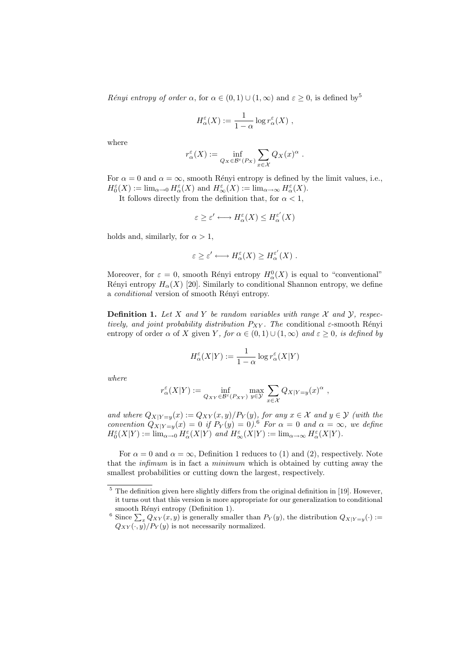Rényi entropy of order  $\alpha$ , for  $\alpha \in (0,1) \cup (1,\infty)$  and  $\varepsilon \geq 0$ , is defined by<sup>5</sup>

$$
H_{\alpha}^{\varepsilon}(X) := \frac{1}{1-\alpha} \log r_{\alpha}^{\varepsilon}(X) ,
$$

where

$$
r_{\alpha}^{\varepsilon}(X) := \inf_{Q_X \in \mathcal{B}^{\varepsilon}(P_X)} \sum_{x \in \mathcal{X}} Q_X(x)^{\alpha}.
$$

For  $\alpha = 0$  and  $\alpha = \infty$ , smooth Rényi entropy is defined by the limit values, i.e.,  $H_0^{\varepsilon}(X) := \lim_{\alpha \to 0} H_{\alpha}^{\varepsilon}(X)$  and  $H_{\infty}^{\varepsilon}(X) := \lim_{\alpha \to \infty} H_{\alpha}^{\varepsilon}(X)$ .

It follows directly from the definition that, for  $\alpha < 1$ ,

$$
\varepsilon \ge \varepsilon' \longleftrightarrow H_\alpha^\varepsilon(X) \le H_\alpha^{\varepsilon'}(X)
$$

holds and, similarly, for  $\alpha > 1$ ,

$$
\varepsilon \ge \varepsilon' \longleftrightarrow H_\alpha^\varepsilon(X) \ge H_\alpha^{\varepsilon'}(X) .
$$

Moreover, for  $\varepsilon = 0$ , smooth Rényi entropy  $H^0_\alpha(X)$  is equal to "conventional" Rényi entropy  $H_{\alpha}(X)$  [20]. Similarly to conditional Shannon entropy, we define a *conditional* version of smooth Rényi entropy.

**Definition 1.** Let X and Y be random variables with range X and Y, respectively, and joint probability distribution  $P_{XY}$ . The conditional  $\varepsilon$ -smooth Rényi entropy of order  $\alpha$  of X given Y, for  $\alpha \in (0,1) \cup (1,\infty)$  and  $\varepsilon \geq 0$ , is defined by

$$
H_\alpha^\varepsilon(X|Y) := \frac{1}{1-\alpha} \log r_\alpha^\varepsilon(X|Y)
$$

where

$$
r_{\alpha}^{\varepsilon}(X|Y) := \inf_{Q_{XY} \in \mathcal{B}^{\varepsilon}(P_{XY})} \max_{y \in \mathcal{Y}} \sum_{x \in \mathcal{X}} Q_{X|Y=y}(x)^{\alpha} ,
$$

and where  $Q_{X|Y=y}(x) := Q_{XY}(x, y)/P_Y(y)$ , for any  $x \in \mathcal{X}$  and  $y \in \mathcal{Y}$  (with the convention  $Q_{X|Y=y}(x) = 0$  if  $P_Y(y) = 0$ .<sup>6</sup> For  $\alpha = 0$  and  $\alpha = \infty$ , we define  $H_0^{\varepsilon}(X|Y) := \lim_{\alpha \to 0} H_{\alpha}^{\varepsilon}(X|Y)$  and  $H_{\infty}^{\varepsilon}(X|Y) := \lim_{\alpha \to \infty} H_{\alpha}^{\varepsilon}(X|Y)$ .

For  $\alpha = 0$  and  $\alpha = \infty$ , Definition 1 reduces to (1) and (2), respectively. Note that the infimum is in fact a minimum which is obtained by cutting away the smallest probabilities or cutting down the largest, respectively.

 $5$  The definition given here slightly differs from the original definition in [19]. However, it turns out that this version is more appropriate for our generalization to conditional smooth Rényi entropy (Definition 1).

<sup>&</sup>lt;sup>6</sup> Since  $\sum_{x} Q_{XY}(x, y)$  is generally smaller than  $P_Y(y)$ , the distribution  $Q_{X|Y=y}(\cdot)$  :=  $Q_{XY}(\cdot, y)/P_Y(y)$  is not necessarily normalized.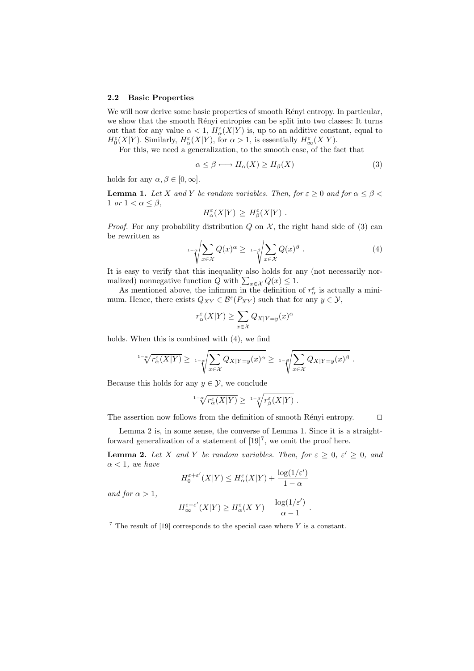#### 2.2 Basic Properties

We will now derive some basic properties of smooth Rényi entropy. In particular, we show that the smooth Rényi entropies can be split into two classes: It turns out that for any value  $\alpha < 1$ ,  $H^{\varepsilon}_{\alpha}(X|Y)$  is, up to an additive constant, equal to  $H_0^{\varepsilon}(X|Y)$ . Similarly,  $H_{\alpha}^{\varepsilon}(X|Y)$ , for  $\alpha > 1$ , is essentially  $H_{\infty}^{\varepsilon}(X|Y)$ .

For this, we need a generalization, to the smooth case, of the fact that

$$
\alpha \le \beta \longleftrightarrow H_{\alpha}(X) \ge H_{\beta}(X) \tag{3}
$$

holds for any  $\alpha, \beta \in [0, \infty]$ .

**Lemma 1.** Let X and Y be random variables. Then, for  $\varepsilon \geq 0$  and for  $\alpha \leq \beta < \varepsilon$ 1 or  $1 < \alpha \leq \beta$ ,

$$
H_{\alpha}^{\varepsilon}(X|Y) \geq H_{\beta}^{\varepsilon}(X|Y) .
$$

*Proof.* For any probability distribution  $Q$  on  $\mathcal{X}$ , the right hand side of (3) can be rewritten as

$$
{}_{1-\alpha} \sqrt{\sum_{x \in \mathcal{X}} Q(x)^{\alpha}} \geq {}_{1-\beta} \sqrt{\sum_{x \in \mathcal{X}} Q(x)^{\beta}} . \tag{4}
$$

It is easy to verify that this inequality also holds for any (not necessarily normalized) nonnegative function  $Q$  with  $\sum_{x \in \mathcal{X}} Q(x) \leq 1$ .

As mentioned above, the infimum in the definition of  $r^{\varepsilon}_{\alpha}$  is actually a minimum. Hence, there exists  $Q_{XY} \in \mathcal{B}^{\varepsilon}(P_{XY})$  such that for any  $y \in \mathcal{Y}$ ,

$$
r_{\alpha}^{\varepsilon}(X|Y) \ge \sum_{x \in \mathcal{X}} Q_{X|Y=y}(x)^{\alpha}
$$

holds. When this is combined with (4), we find

$$
{}^{1-\alpha}\!\!\sqrt{r_\alpha^{\varepsilon}(X|Y)} \geq {}^{1-\alpha}\!\!\sqrt{\sum_{x\in\mathcal{X}}Q_{X|Y=y}(x)^\alpha} \geq {}^{1-\beta}\!\!\sqrt{\sum_{x\in\mathcal{X}}Q_{X|Y=y}(x)^\beta}.
$$

Because this holds for any  $y \in \mathcal{Y}$ , we conclude

$$
{}^{1-\alpha}\hspace{-0.1cm}\sqrt{r^\varepsilon_\alpha(X|Y)}\geq\;{}^{1-\beta}\hspace{-0.1cm}\sqrt{r^\varepsilon_\beta(X|Y)}\;.
$$

The assertion now follows from the definition of smooth Rényi entropy.  $\Box$ 

Lemma 2 is, in some sense, the converse of Lemma 1. Since it is a straightforward generalization of a statement of  $[19]^7$ , we omit the proof here.

**Lemma 2.** Let X and Y be random variables. Then, for  $\varepsilon \geq 0$ ,  $\varepsilon' \geq 0$ , and  $\alpha < 1$ , we have

$$
H_0^{\varepsilon+\varepsilon'}(X|Y) \le H_\alpha^\varepsilon(X|Y) + \frac{\log(1/\varepsilon')}{1-\alpha}
$$

and for  $\alpha > 1$ ,

$$
H_{\infty}^{\varepsilon+\varepsilon'}(X|Y) \ge H_{\alpha}^{\varepsilon}(X|Y) - \frac{\log(1/\varepsilon')}{\alpha - 1}
$$

.

 $7$  The result of [19] corresponds to the special case where Y is a constant.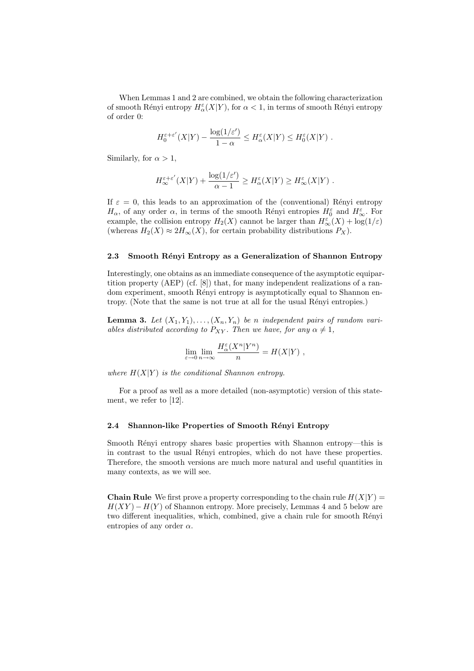When Lemmas 1 and 2 are combined, we obtain the following characterization of smooth Rényi entropy  $H^{\varepsilon}_\alpha(X|Y),$  for  $\alpha < 1$ , in terms of smooth Rényi entropy of order 0:

$$
H_0^{\varepsilon+\varepsilon'}(X|Y) - \frac{\log(1/\varepsilon')}{1-\alpha} \le H_\alpha^{\varepsilon}(X|Y) \le H_0^{\varepsilon}(X|Y) .
$$

Similarly, for  $\alpha > 1$ ,

$$
H_{\infty}^{\varepsilon+\varepsilon'}(X|Y) + \frac{\log(1/\varepsilon')}{\alpha-1} \ge H_{\alpha}^{\varepsilon}(X|Y) \ge H_{\infty}^{\varepsilon}(X|Y) .
$$

If  $\varepsilon = 0$ , this leads to an approximation of the (conventional) Rényi entropy  $H_{\alpha}$ , of any order  $\alpha$ , in terms of the smooth Rényi entropies  $H_0^{\varepsilon}$  and  $H_{\infty}^{\varepsilon}$ . For example, the collision entropy  $H_2(X)$  cannot be larger than  $H_{\infty}^{\varepsilon}(X) + \log(1/\varepsilon)$ (whereas  $H_2(X) \approx 2H_{\infty}(X)$ , for certain probability distributions  $P_X$ ).

#### 2.3 Smooth Rényi Entropy as a Generalization of Shannon Entropy

Interestingly, one obtains as an immediate consequence of the asymptotic equipartition property (AEP) (cf. [8]) that, for many independent realizations of a random experiment, smooth Rényi entropy is asymptotically equal to Shannon entropy. (Note that the same is not true at all for the usual Rényi entropies.)

**Lemma 3.** Let  $(X_1, Y_1), \ldots, (X_n, Y_n)$  be n independent pairs of random variables distributed according to  $P_{XY}$ . Then we have, for any  $\alpha \neq 1$ ,

$$
\lim_{\varepsilon \to 0} \lim_{n \to \infty} \frac{H_\alpha^\varepsilon(X^n|Y^n)}{n} = H(X|Y) ,
$$

where  $H(X|Y)$  is the conditional Shannon entropy.

For a proof as well as a more detailed (non-asymptotic) version of this statement, we refer to [12].

#### 2.4 Shannon-like Properties of Smooth Rényi Entropy

Smooth Rényi entropy shares basic properties with Shannon entropy—this is in contrast to the usual R´enyi entropies, which do not have these properties. Therefore, the smooth versions are much more natural and useful quantities in many contexts, as we will see.

**Chain Rule** We first prove a property corresponding to the chain rule  $H(X|Y) =$  $H(XY) - H(Y)$  of Shannon entropy. More precisely, Lemmas 4 and 5 below are two different inequalities, which, combined, give a chain rule for smooth Rényi entropies of any order  $\alpha$ .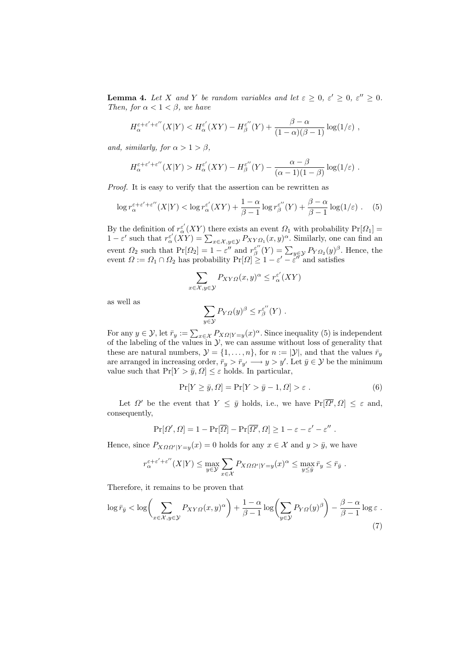**Lemma 4.** Let X and Y be random variables and let  $\varepsilon \geq 0$ ,  $\varepsilon' \geq 0$ ,  $\varepsilon'' \geq 0$ . Then, for  $\alpha < 1 < \beta$ , we have

$$
H_{\alpha}^{\varepsilon+\varepsilon'+\varepsilon''}(X|Y) < H_{\alpha}^{\varepsilon'}(XY) - H_{\beta}^{\varepsilon''}(Y) + \frac{\beta-\alpha}{(1-\alpha)(\beta-1)}\log(1/\varepsilon) ,
$$

and, similarly, for  $\alpha > 1 > \beta$ ,

$$
H_{\alpha}^{\varepsilon+\varepsilon'+\varepsilon''}(X|Y) > H_{\alpha}^{\varepsilon'}(XY) - H_{\beta}^{\varepsilon''}(Y) - \frac{\alpha-\beta}{(\alpha-1)(1-\beta)}\log(1/\varepsilon) .
$$

Proof. It is easy to verify that the assertion can be rewritten as

$$
\log r_{\alpha}^{\varepsilon+\varepsilon'+\varepsilon''}(X|Y) < \log r_{\alpha}^{\varepsilon'}(XY) + \frac{1-\alpha}{\beta-1}\log r_{\beta}^{\varepsilon''}(Y) + \frac{\beta-\alpha}{\beta-1}\log(1/\varepsilon) \tag{5}
$$

By the definition of  $r_{\alpha}^{\varepsilon'}(XY)$  there exists an event  $\Omega_1$  with probability  $Pr[\Omega_1] =$  $1 - \varepsilon'$  such that  $r^{\varepsilon'}_0(XY) = \sum_{x \in \mathcal{X}, y \in \mathcal{Y}} P_{XY\Omega_1}(x, y)^\alpha$ . Similarly, one can find an event  $\Omega_2$  such that  $Pr[\Omega_2] = 1 - \varepsilon''$  and  $r^{\varepsilon''}_{\beta}(Y) = \sum_{y \in \mathcal{Y}} P_{Y \Omega_2}(y)^{\beta}$ . Hence, the event  $\Omega := \Omega_1 \cap \Omega_2$  has probability  $\Pr[\Omega] \geq 1 - \varepsilon' - \varepsilon''$  and satisfies

$$
\sum_{x \in \mathcal{X}, y \in \mathcal{Y}} P_{XY\Omega}(x, y)^{\alpha} \le r_{\alpha}^{\varepsilon'}(XY)
$$

as well as

$$
\sum_{y\in\mathcal{Y}} P_{Y\Omega}(y)^\beta \leq r^{\varepsilon''}_{\beta}(Y) .
$$

For any  $y \in \mathcal{Y}$ , let  $\bar{r}_y := \sum_{x \in \mathcal{X}} P_{X\Omega|Y=y}(x)^\alpha$ . Since inequality (5) is independent of the labeling of the values in  $\mathcal{Y}$ , we can assume without loss of generality that these are natural numbers,  $\mathcal{Y} = \{1, \ldots, n\}$ , for  $n := |\mathcal{Y}|$ , and that the values  $\bar{r}_y$ are arranged in increasing order,  $\bar{r}_y > \bar{r}_{y'} \longrightarrow y > y'$ . Let  $\bar{y} \in \mathcal{Y}$  be the minimum value such that  $Pr[Y > \bar{y}, \Omega] \leq \varepsilon$  holds. In particular,

$$
\Pr[Y \ge \bar{y}, \Omega] = \Pr[Y > \bar{y} - 1, \Omega] > \varepsilon \tag{6}
$$

Let  $\Omega'$  be the event that  $Y \leq \bar{y}$  holds, i.e., we have  $Pr[\overline{\Omega'}, \Omega] \leq \varepsilon$  and, consequently,

$$
Pr[\Omega', \Omega] = 1 - Pr[\overline{\Omega}] - Pr[\overline{\Omega'}, \Omega] \ge 1 - \varepsilon - \varepsilon' - \varepsilon''.
$$

Hence, since  $P_{X\Omega\Omega'|Y=y}(x) = 0$  holds for any  $x \in \mathcal{X}$  and  $y > \bar{y}$ , we have

$$
r_\alpha^{\varepsilon+\varepsilon'+\varepsilon''}(X|Y) \le \max_{y \in \mathcal{Y}} \sum_{x \in \mathcal{X}} P_{X\Omega\Omega'|Y=y}(x)^\alpha \le \max_{y \le \bar{y}} \bar{r}_y \le \bar{r}_{\bar{y}}.
$$

Therefore, it remains to be proven that

$$
\log \bar{r}_{\bar{y}} < \log \left( \sum_{x \in \mathcal{X}, y \in \mathcal{Y}} P_{XY\Omega}(x, y)^{\alpha} \right) + \frac{1 - \alpha}{\beta - 1} \log \left( \sum_{y \in \mathcal{Y}} P_{Y\Omega}(y)^{\beta} \right) - \frac{\beta - \alpha}{\beta - 1} \log \varepsilon \tag{7}
$$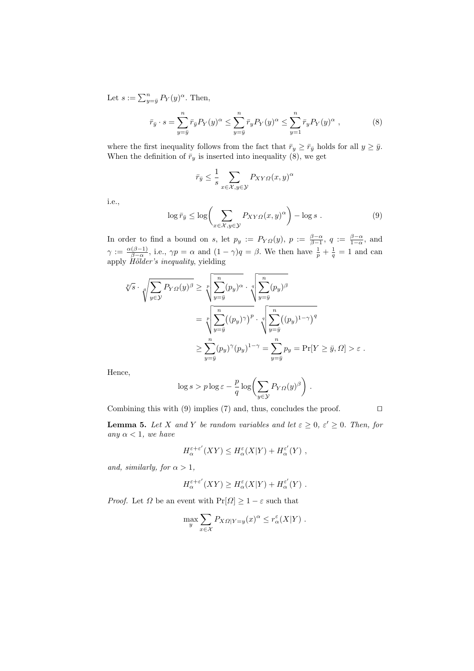Let  $s := \sum_{y=\bar{y}}^{n} P_Y(y)^{\alpha}$ . Then,

$$
\bar{r}_{\bar{y}} \cdot s = \sum_{y=\bar{y}}^{n} \bar{r}_{\bar{y}} P_Y(y)^{\alpha} \le \sum_{y=\bar{y}}^{n} \bar{r}_y P_Y(y)^{\alpha} \le \sum_{y=1}^{n} \bar{r}_y P_Y(y)^{\alpha} , \qquad (8)
$$

where the first inequality follows from the fact that  $\bar{r}_y \geq \bar{r}_{\bar{y}}$  holds for all  $y \geq \bar{y}$ . When the definition of  $\bar{r}_y$  is inserted into inequality (8), we get

$$
\bar{r}_{\bar{y}} \le \frac{1}{s} \sum_{x \in \mathcal{X}, y \in \mathcal{Y}} P_{XY\Omega}(x, y)^{\alpha}
$$

i.e.,

$$
\log \bar{r}_{\bar{y}} \le \log \left( \sum_{x \in \mathcal{X}, y \in \mathcal{Y}} P_{XY\Omega}(x, y)^{\alpha} \right) - \log s . \tag{9}
$$

In order to find a bound on s, let  $p_y := P_{YQ}(y)$ ,  $p := \frac{\beta-\alpha}{\beta-1}$ ,  $q := \frac{\beta-\alpha}{1-\alpha}$ , and  $\gamma := \frac{\alpha(\beta-1)}{\beta-\alpha}$  $\frac{(\beta-1)}{\beta-\alpha}$ , i.e.,  $\gamma p = \alpha$  and  $(1-\gamma)q = \beta$ . We then have  $\frac{1}{p} + \frac{1}{q} = 1$  and can apply Hölder's inequality, yielding

$$
\sqrt[p]{s} \cdot \sqrt[p]{\sum_{y \in \mathcal{Y}} P_{Y\Omega}(y)^{\beta}} \ge \sqrt[p]{\sum_{y=\bar{y}}^{n} (p_y)^{\alpha}} \cdot \sqrt[p]{\sum_{y=\bar{y}}^{n} (p_y)^{\beta}}
$$

$$
= \sqrt[p]{\sum_{y=\bar{y}}^{n} ((p_y)^{\gamma})^{p}} \cdot \sqrt[p]{\sum_{y=\bar{y}}^{n} ((p_y)^{1-\gamma})^{q}}
$$

$$
\ge \sum_{y=\bar{y}}^{n} (p_y)^{\gamma} (p_y)^{1-\gamma} = \sum_{y=\bar{y}}^{n} p_y = \Pr[Y \ge \bar{y}, \Omega] > \varepsilon.
$$

Hence,

$$
\log s > p \log \varepsilon - \frac{p}{q} \log \left( \sum_{y \in \mathcal{Y}} P_{Y\Omega}(y)^{\beta} \right).
$$

Combining this with (9) implies (7) and, thus, concludes the proof.  $\square$ 

**Lemma 5.** Let X and Y be random variables and let  $\varepsilon \geq 0$ ,  $\varepsilon' \geq 0$ . Then, for any  $\alpha < 1$ , we have

$$
H_{\alpha}^{\varepsilon+\varepsilon'}(XY) \leq H_{\alpha}^{\varepsilon}(X|Y) + H_{\alpha}^{\varepsilon'}(Y) ,
$$

and, similarly, for  $\alpha > 1$ ,

$$
H_{\alpha}^{\varepsilon+\varepsilon'}(XY) \geq H_{\alpha}^{\varepsilon}(X|Y) + H_{\alpha}^{\varepsilon'}(Y) .
$$

*Proof.* Let  $\Omega$  be an event with  $Pr[\Omega] \geq 1 - \varepsilon$  such that

$$
\max_{y} \sum_{x \in \mathcal{X}} P_{X\Omega|Y=y}(x)^{\alpha} \leq r_{\alpha}^{\varepsilon}(X|Y) .
$$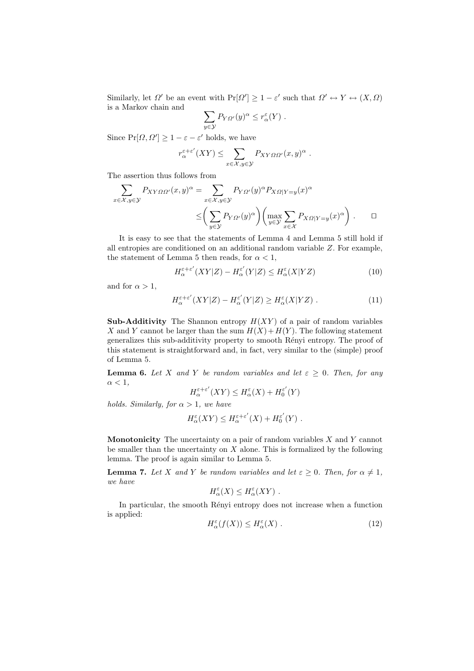Similarly, let  $\Omega'$  be an event with  $Pr[\Omega'] \geq 1 - \varepsilon'$  such that  $\Omega' \leftrightarrow Y \leftrightarrow (X, \Omega)$ is a Markov chain and

$$
\sum_{y\in\mathcal{Y}}P_{Y\varOmega'}(y)^{\alpha}\leq r_{\alpha}^{\varepsilon}(Y) .
$$

Since  $Pr[\Omega, \Omega'] \ge 1 - \varepsilon - \varepsilon'$  holds, we have

$$
r_{\alpha}^{\varepsilon+\varepsilon'}(XY) \leq \sum_{x \in \mathcal{X}, y \in \mathcal{Y}} P_{XY\Omega\Omega'}(x, y)^{\alpha} .
$$

The assertion thus follows from

$$
\sum_{x \in \mathcal{X}, y \in \mathcal{Y}} P_{XY\Omega\Omega'}(x, y)^{\alpha} = \sum_{x \in \mathcal{X}, y \in \mathcal{Y}} P_{Y\Omega'}(y)^{\alpha} P_{X\Omega|Y=y}(x)^{\alpha}
$$

$$
\leq \left(\sum_{y \in \mathcal{Y}} P_{Y\Omega'}(y)^{\alpha}\right) \left(\max_{y \in \mathcal{Y}} \sum_{x \in \mathcal{X}} P_{X\Omega|Y=y}(x)^{\alpha}\right). \qquad \Box
$$

It is easy to see that the statements of Lemma 4 and Lemma 5 still hold if all entropies are conditioned on an additional random variable Z. For example, the statement of Lemma 5 then reads, for  $\alpha < 1$ ,

$$
H_{\alpha}^{\varepsilon+\varepsilon'}(XY|Z) - H_{\alpha}^{\varepsilon'}(Y|Z) \le H_{\alpha}^{\varepsilon}(X|YZ)
$$
\n(10)

and for  $\alpha > 1$ ,

$$
H_{\alpha}^{\varepsilon+\varepsilon'}(XY|Z) - H_{\alpha}^{\varepsilon'}(Y|Z) \ge H_{\alpha}^{\varepsilon}(X|YZ) . \tag{11}
$$

Sub-Additivity The Shannon entropy  $H(XY)$  of a pair of random variables X and Y cannot be larger than the sum  $H(X) + H(Y)$ . The following statement generalizes this sub-additivity property to smooth Rényi entropy. The proof of this statement is straightforward and, in fact, very similar to the (simple) proof of Lemma 5.

**Lemma 6.** Let X and Y be random variables and let  $\varepsilon \geq 0$ . Then, for any  $\alpha < 1$ ,

$$
H^{\varepsilon+\varepsilon'}_\alpha(XY)\le H^\varepsilon_\alpha(X)+H^{\varepsilon'}_0(Y)
$$

holds. Similarly, for  $\alpha > 1$ , we have

$$
H^{\varepsilon}_{\alpha}(XY) \leq H^{\varepsilon+\varepsilon'}_{\alpha}(X) + H^{\varepsilon'}_{0}(Y) .
$$

**Monotonicity** The uncertainty on a pair of random variables  $X$  and  $Y$  cannot be smaller than the uncertainty on  $X$  alone. This is formalized by the following lemma. The proof is again similar to Lemma 5.

**Lemma 7.** Let X and Y be random variables and let  $\varepsilon \geq 0$ . Then, for  $\alpha \neq 1$ , we have

$$
H_{\alpha}^{\varepsilon}(X) \leq H_{\alpha}^{\varepsilon}(XY) .
$$

In particular, the smooth Rényi entropy does not increase when a function is applied:

$$
H_{\alpha}^{\varepsilon}(f(X)) \le H_{\alpha}^{\varepsilon}(X). \tag{12}
$$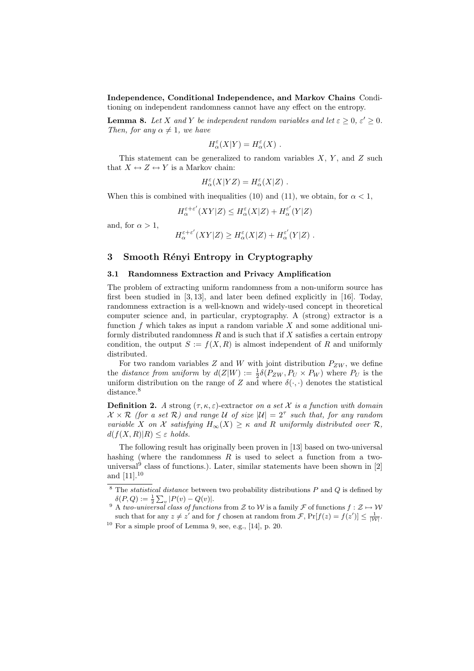Independence, Conditional Independence, and Markov Chains Conditioning on independent randomness cannot have any effect on the entropy.

**Lemma 8.** Let X and Y be independent random variables and let  $\varepsilon \geq 0$ ,  $\varepsilon' \geq 0$ . Then, for any  $\alpha \neq 1$ , we have

$$
H_\alpha^\varepsilon(X|Y)=H_\alpha^\varepsilon(X)\ .
$$

This statement can be generalized to random variables  $X$ ,  $Y$ , and  $Z$  such that  $X \leftrightarrow Z \leftrightarrow Y$  is a Markov chain:

$$
H_\alpha^\varepsilon(X|YZ) = H_\alpha^\varepsilon(X|Z) .
$$

When this is combined with inequalities (10) and (11), we obtain, for  $\alpha < 1$ ,

$$
H^{\varepsilon+\varepsilon'}_{\alpha}(XY|Z)\leq H^{\varepsilon}_{\alpha}(X|Z)+H^{\varepsilon'}_{\alpha}(Y|Z)
$$

and, for  $\alpha > 1$ ,

$$
H^{\varepsilon+\varepsilon'}_{\alpha}(XY|Z) \geq H^{\varepsilon}_{\alpha}(X|Z) + H^{\varepsilon'}_{\alpha}(Y|Z) .
$$

# 3 Smooth Rényi Entropy in Cryptography

#### 3.1 Randomness Extraction and Privacy Amplification

The problem of extracting uniform randomness from a non-uniform source has first been studied in [3, 13], and later been defined explicitly in [16]. Today, randomness extraction is a well-known and widely-used concept in theoretical computer science and, in particular, cryptography. A (strong) extractor is a function  $f$  which takes as input a random variable  $X$  and some additional uniformly distributed randomness  $R$  and is such that if  $X$  satisfies a certain entropy condition, the output  $S := f(X, R)$  is almost independent of R and uniformly distributed.

For two random variables Z and W with joint distribution  $P_{ZW}$ , we define the *distance from uniform* by  $d(Z|W) := \frac{1}{2}\delta(P_{ZW}, P_U \times P_W)$  where  $P_U$  is the uniform distribution on the range of Z and where  $\delta(\cdot, \cdot)$  denotes the statistical distance.<sup>8</sup>

**Definition 2.** A strong  $(\tau, \kappa, \varepsilon)$ -extractor on a set X is a function with domain  $\mathcal{X} \times \mathcal{R}$  (for a set  $\mathcal{R}$ ) and range U of size  $|\mathcal{U}| = 2^{\tau}$  such that, for any random variable X on X satisfying  $H_{\infty}(X) \geq \kappa$  and R uniformly distributed over R,  $d(f(X,R)|R) \leq \varepsilon$  holds.

The following result has originally been proven in [13] based on two-universal hashing (where the randomness  $R$  is used to select a function from a twouniversal<sup>9</sup> class of functions.). Later, similar statements have been shown in  $[2]$ and [11].<sup>10</sup>

 $8$  The *statistical distance* between two probability distributions P and Q is defined by  $\delta(P,Q) := \frac{1}{2} \sum_{v} |P(v) - Q(v)|.$ 

<sup>&</sup>lt;sup>9</sup> A two-universal class of functions from Z to W is a family F of functions  $f : \mathcal{Z} \mapsto \mathcal{W}$ such that for any  $z \neq z'$  and for f chosen at random from  $\mathcal{F}$ ,  $Pr[f(z) = f(z')] \leq \frac{1}{|\mathcal{W}|}$ .

 $10$  For a simple proof of Lemma 9, see, e.g., [14], p. 20.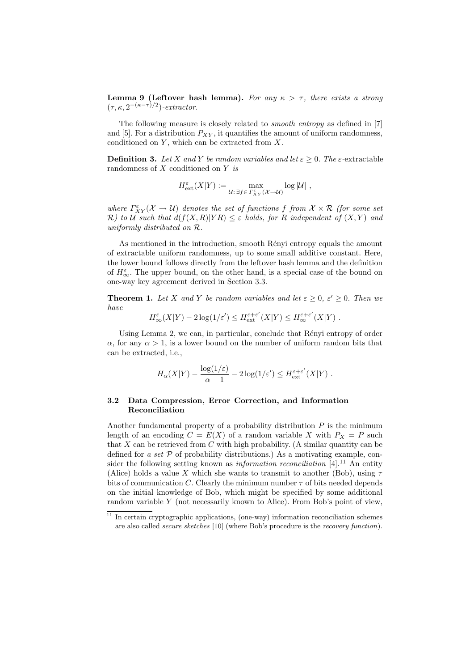**Lemma 9 (Leftover hash lemma).** For any  $\kappa > \tau$ , there exists a strong  $(\tau, \kappa, 2^{-(\kappa-\tau)/2})$ -extractor.

The following measure is closely related to smooth entropy as defined in [7] and [5]. For a distribution  $P_{XY}$ , it quantifies the amount of uniform randomness, conditioned on  $Y$ , which can be extracted from  $X$ .

**Definition 3.** Let X and Y be random variables and let  $\varepsilon > 0$ . The  $\varepsilon$ -extractable randomness of  $X$  conditioned on  $Y$  is

$$
H^{\varepsilon}_\mathrm{ext}(X|Y) := \max_{\mathcal{U}: \, \exists f \in \varGamma^{\varepsilon}_{XY}(\mathcal{X} \to \mathcal{U})} \log |\mathcal{U}| \ ,
$$

where  $\Gamma_{XY}^{\varepsilon}(\mathcal{X}\to\mathcal{U})$  denotes the set of functions f from  $\mathcal{X}\times\mathcal{R}$  (for some set R) to U such that  $d(f(X,R)|YR) \leq \varepsilon$  holds, for R independent of  $(X,Y)$  and uniformly distributed on R.

As mentioned in the introduction, smooth Rényi entropy equals the amount of extractable uniform randomness, up to some small additive constant. Here, the lower bound follows directly from the leftover hash lemma and the definition of  $H_{\infty}^{\varepsilon}$ . The upper bound, on the other hand, is a special case of the bound on one-way key agreement derived in Section 3.3.

**Theorem 1.** Let X and Y be random variables and let  $\varepsilon \geq 0$ ,  $\varepsilon' \geq 0$ . Then we have

 $H_{\infty}^{\varepsilon}(X|Y) - 2\log(1/\varepsilon') \leq H_{\text{ext}}^{\varepsilon+\varepsilon'}(X|Y) \leq H_{\infty}^{\varepsilon+\varepsilon'}(X|Y)$ .

Using Lemma 2, we can, in particular, conclude that Rényi entropy of order  $\alpha$ , for any  $\alpha > 1$ , is a lower bound on the number of uniform random bits that can be extracted, i.e.,

$$
H_{\alpha}(X|Y) - \frac{\log(1/\varepsilon)}{\alpha - 1} - 2\log(1/\varepsilon') \le H_{\text{ext}}^{\varepsilon + \varepsilon'}(X|Y) .
$$

## 3.2 Data Compression, Error Correction, and Information Reconciliation

Another fundamental property of a probability distribution  $P$  is the minimum length of an encoding  $C = E(X)$  of a random variable X with  $P_X = P$  such that X can be retrieved from C with high probability. (A similar quantity can be defined for a set  $P$  of probability distributions.) As a motivating example, consider the following setting known as *information reconciliation*  $[4]$ <sup>11</sup> An entity (Alice) holds a value X which she wants to transmit to another (Bob), using  $\tau$ bits of communication C. Clearly the minimum number  $\tau$  of bits needed depends on the initial knowledge of Bob, which might be specified by some additional random variable Y (not necessarily known to Alice). From Bob's point of view,

 $11$  In certain cryptographic applications, (one-way) information reconciliation schemes are also called secure sketches [10] (where Bob's procedure is the recovery function).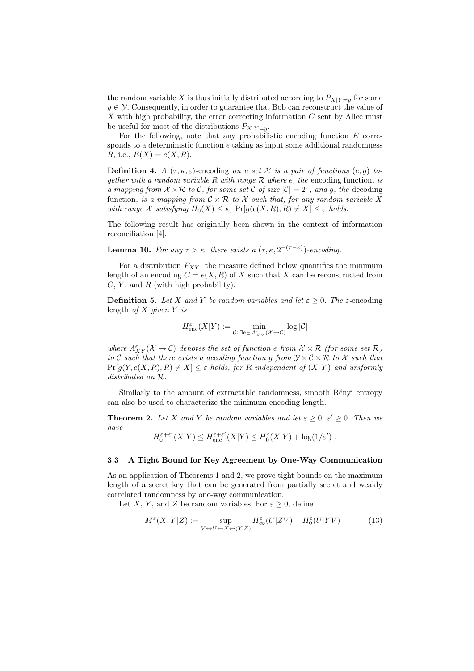the random variable X is thus initially distributed according to  $P_{X|Y=y}$  for some  $y \in \mathcal{Y}$ . Consequently, in order to guarantee that Bob can reconstruct the value of  $X$  with high probability, the error correcting information  $C$  sent by Alice must be useful for most of the distributions  $P_{X|Y=v}$ .

For the following, note that any probabilistic encoding function E corresponds to a deterministic function  $e$  taking as input some additional randomness R, i.e.,  $E(X) = e(X, R)$ .

**Definition 4.** A  $(\tau, \kappa, \varepsilon)$ -encoding on a set X is a pair of functions  $(e, g)$  together with a random variable R with range R where e, the encoding function, is a mapping from  $X \times \mathcal{R}$  to C, for some set C of size  $|\mathcal{C}| = 2^{\tau}$ , and g, the decoding function, is a mapping from  $\mathcal{C} \times \mathcal{R}$  to X such that, for any random variable X with range X satisfying  $H_0(X) \leq \kappa$ ,  $Pr[g(e(X, R), R) \neq X] \leq \varepsilon$  holds.

The following result has originally been shown in the context of information reconciliation [4].

**Lemma 10.** For any  $\tau > \kappa$ , there exists a  $(\tau, \kappa, 2^{-(\tau - \kappa)})$ -encoding.

For a distribution  $P_{XY}$ , the measure defined below quantifies the minimum length of an encoding  $C = e(X, R)$  of X such that X can be reconstructed from  $C, Y$ , and  $R$  (with high probability).

**Definition 5.** Let X and Y be random variables and let  $\varepsilon \geq 0$ . The  $\varepsilon$ -encoding length of  $X$  given  $Y$  is

$$
H^\varepsilon_{\textup{enc}}(X \vert Y) := \min_{\mathcal C: \, \exists e \in \varLambda^\varepsilon_{XY}(\mathcal X \to \mathcal C)} \log |\mathcal C|
$$

where  $\Lambda^\varepsilon_{XY}(\mathcal X\to\mathcal C)$  denotes the set of function e from  $\mathcal X\times\mathcal R$  (for some set  $\mathcal R)$ to C such that there exists a decoding function g from  $\mathcal{Y} \times \mathcal{C} \times \mathcal{R}$  to X such that  $Pr[q(Y, e(X, R), R) \neq X] \leq \varepsilon$  holds, for R independent of  $(X, Y)$  and uniformly distributed on R.

Similarly to the amount of extractable randomness, smooth Rényi entropy can also be used to characterize the minimum encoding length.

**Theorem 2.** Let X and Y be random variables and let  $\varepsilon \geq 0$ ,  $\varepsilon' \geq 0$ . Then we have  $\overline{\phantom{a}}$  $\overline{\phantom{0}}$ 

$$
H_0^{\varepsilon+\varepsilon'}(X|Y) \le H_{\text{enc}}^{\varepsilon+\varepsilon'}(X|Y) \le H_0^{\varepsilon}(X|Y) + \log(1/\varepsilon') .
$$

### 3.3 A Tight Bound for Key Agreement by One-Way Communication

As an application of Theorems 1 and 2, we prove tight bounds on the maximum length of a secret key that can be generated from partially secret and weakly correlated randomness by one-way communication.

Let X, Y, and Z be random variables. For  $\varepsilon \geq 0$ , define

$$
M^{\varepsilon}(X;Y|Z) := \sup_{V \hookrightarrow U \hookrightarrow X \hookrightarrow (Y,Z)} H^{\varepsilon}_{\infty}(U|ZV) - H^{\varepsilon}_0(U|YV) . \tag{13}
$$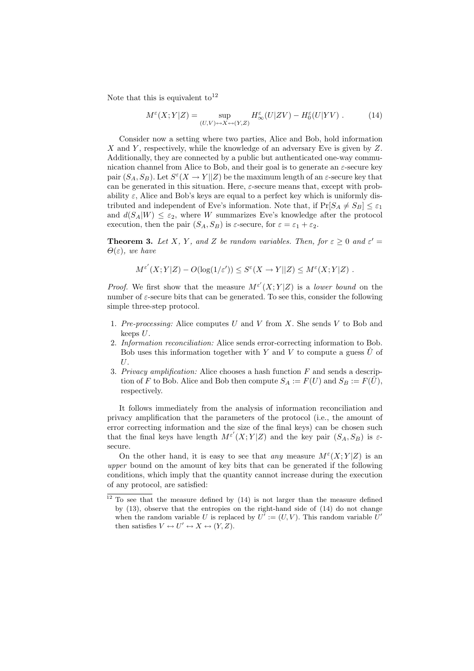Note that this is equivalent to<sup>12</sup>

$$
M^{\varepsilon}(X;Y|Z) = \sup_{(U,V)\leftrightarrow X\leftrightarrow (Y,Z)} H^{\varepsilon}_{\infty}(U|ZV) - H^{\varepsilon}_0(U|YV) . \tag{14}
$$

Consider now a setting where two parties, Alice and Bob, hold information  $X$  and  $Y$ , respectively, while the knowledge of an adversary Eve is given by  $Z$ . Additionally, they are connected by a public but authenticated one-way communication channel from Alice to Bob, and their goal is to generate an  $\varepsilon$ -secure key pair  $(S_A, S_B)$ . Let  $S^{\varepsilon}(X \to Y||Z)$  be the maximum length of an  $\varepsilon$ -secure key that can be generated in this situation. Here,  $\varepsilon$ -secure means that, except with probability  $\varepsilon$ , Alice and Bob's keys are equal to a perfect key which is uniformly distributed and independent of Eve's information. Note that, if  $Pr[S_A \neq S_B] < \varepsilon_1$ and  $d(S_A|W) \leq \varepsilon_2$ , where W summarizes Eve's knowledge after the protocol execution, then the pair  $(S_A, S_B)$  is  $\varepsilon$ -secure, for  $\varepsilon = \varepsilon_1 + \varepsilon_2$ .

**Theorem 3.** Let X, Y, and Z be random variables. Then, for  $\varepsilon \geq 0$  and  $\varepsilon' =$  $\Theta(\varepsilon)$ , we have

$$
M^{\varepsilon'}(X;Y|Z) - O(\log(1/\varepsilon')) \leq S^{\varepsilon}(X \to Y||Z) \leq M^{\varepsilon}(X;Y|Z) .
$$

*Proof.* We first show that the measure  $M^{\varepsilon'}(X;Y|Z)$  is a lower bound on the number of  $\varepsilon$ -secure bits that can be generated. To see this, consider the following simple three-step protocol.

- 1. Pre-processing: Alice computes U and V from X. She sends V to Bob and keeps  $U$ .
- 2. Information reconciliation: Alice sends error-correcting information to Bob. Bob uses this information together with Y and V to compute a guess  $\hat{U}$  of  $U$ .
- 3. Privacy amplification: Alice chooses a hash function  $F$  and sends a description of F to Bob. Alice and Bob then compute  $S_A := F(U)$  and  $S_B := F(\hat{U})$ , respectively.

It follows immediately from the analysis of information reconciliation and privacy amplification that the parameters of the protocol (i.e., the amount of error correcting information and the size of the final keys) can be chosen such that the final keys have length  $M^{\varepsilon'}(X;Y|Z)$  and the key pair  $(S_A, S_B)$  is  $\varepsilon$ secure.

On the other hand, it is easy to see that any measure  $M^{\varepsilon}(X;Y|Z)$  is an upper bound on the amount of key bits that can be generated if the following conditions, which imply that the quantity cannot increase during the execution of any protocol, are satisfied:

 $12$  To see that the measure defined by (14) is not larger than the measure defined by (13), observe that the entropies on the right-hand side of (14) do not change when the random variable U is replaced by  $U' := (U, V)$ . This random variable U' then satisfies  $V \leftrightarrow U' \leftrightarrow X \leftrightarrow (Y, Z)$ .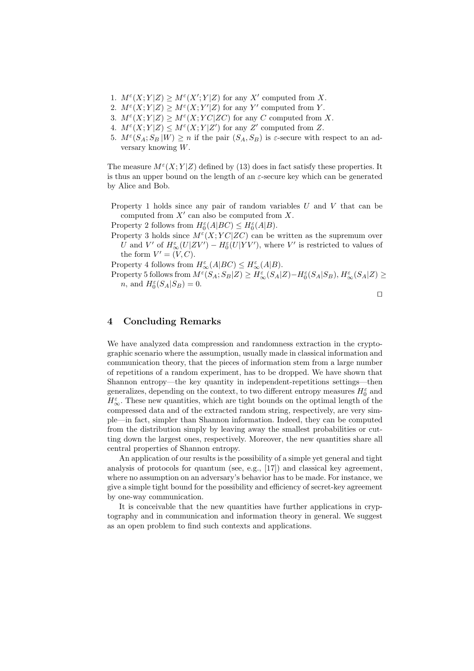- 1.  $M^{\varepsilon}(X;Y|Z) \ge M^{\varepsilon}(X';Y|Z)$  for any X' computed from X.
- 2.  $M^{\varepsilon}(X;Y|Z) \ge M^{\varepsilon}(X;Y'|Z)$  for any Y' computed from Y.
- 3.  $M^{\varepsilon}(X;Y|Z) \geq M^{\varepsilon}(X;YC|ZC)$  for any C computed from X.
- 4.  $M^{\varepsilon}(X;Y|Z) \leq M^{\varepsilon}(X;Y|Z')$  for any Z' computed from Z.
- 5.  $M^{\varepsilon}(S_A; S_B | W) \ge n$  if the pair  $(S_A, S_B)$  is  $\varepsilon$ -secure with respect to an adversary knowing W.

The measure  $M^{\varepsilon}(X;Y|Z)$  defined by (13) does in fact satisfy these properties. It is thus an upper bound on the length of an  $\varepsilon$ -secure key which can be generated by Alice and Bob.

Property 1 holds since any pair of random variables  $U$  and  $V$  that can be computed from  $X'$  can also be computed from  $X$ .

Property 2 follows from  $H_0^{\varepsilon}(A|BC) \leq H_0^{\varepsilon}(A|B)$ .

Property 3 holds since  $M^{\varepsilon}(X; YC|ZC)$  can be written as the supremum over U and V' of  $H_{\infty}^{\varepsilon}(U|ZV') - H_0^{\varepsilon}(U|YV')$ , where V' is restricted to values of the form  $V' = (V, C)$ .

Property 4 follows from  $H_{\infty}^{\varepsilon}(A|BC) \leq H_{\infty}^{\varepsilon}(A|B)$ .

Property 5 follows from  $M^{\varepsilon}(S_A; S_B | Z) \geq H_{\infty}^{\varepsilon}(S_A | Z) - H_0^{\varepsilon}(S_A | S_B), H_{\infty}^{\varepsilon}(S_A | Z) \geq$ *n*, and  $H_0^{\varepsilon}(S_A|S_B) = 0$ .

 $\Box$ 

# 4 Concluding Remarks

We have analyzed data compression and randomness extraction in the cryptographic scenario where the assumption, usually made in classical information and communication theory, that the pieces of information stem from a large number of repetitions of a random experiment, has to be dropped. We have shown that Shannon entropy—the key quantity in independent-repetitions settings—then generalizes, depending on the context, to two different entropy measures  $H_0^\varepsilon$  and  $H_\infty^\varepsilon.$  These new quantities, which are tight bounds on the optimal length of the compressed data and of the extracted random string, respectively, are very simple—in fact, simpler than Shannon information. Indeed, they can be computed from the distribution simply by leaving away the smallest probabilities or cutting down the largest ones, respectively. Moreover, the new quantities share all central properties of Shannon entropy.

An application of our results is the possibility of a simple yet general and tight analysis of protocols for quantum (see, e.g., [17]) and classical key agreement, where no assumption on an adversary's behavior has to be made. For instance, we give a simple tight bound for the possibility and efficiency of secret-key agreement by one-way communication.

It is conceivable that the new quantities have further applications in cryptography and in communication and information theory in general. We suggest as an open problem to find such contexts and applications.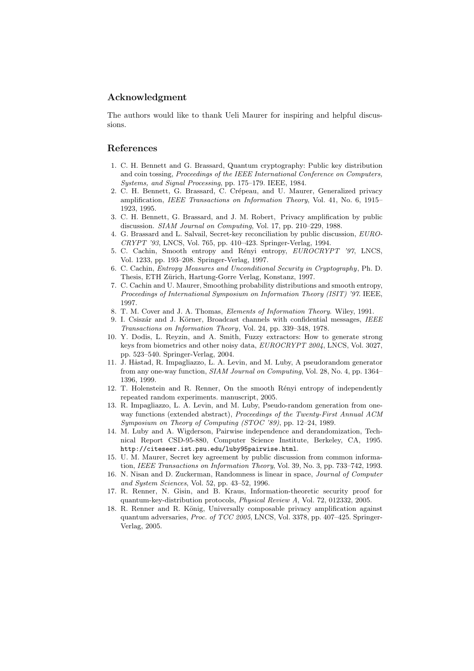## Acknowledgment

The authors would like to thank Ueli Maurer for inspiring and helpful discussions.

## References

- 1. C. H. Bennett and G. Brassard, Quantum cryptography: Public key distribution and coin tossing, Proceedings of the IEEE International Conference on Computers, Systems, and Signal Processing, pp. 175–179. IEEE, 1984.
- 2. C. H. Bennett, G. Brassard, C. Crépeau, and U. Maurer, Generalized privacy amplification, IEEE Transactions on Information Theory, Vol. 41, No. 6, 1915– 1923, 1995.
- 3. C. H. Bennett, G. Brassard, and J. M. Robert, Privacy amplification by public discussion. SIAM Journal on Computing, Vol. 17, pp. 210–229, 1988.
- 4. G. Brassard and L. Salvail, Secret-key reconciliation by public discussion, EURO-CRYPT '93, LNCS, Vol. 765, pp. 410–423. Springer-Verlag, 1994.
- 5. C. Cachin, Smooth entropy and Rényi entropy, EUROCRYPT '97, LNCS, Vol. 1233, pp. 193–208. Springer-Verlag, 1997.
- 6. C. Cachin, Entropy Measures and Unconditional Security in Cryptography, Ph. D. Thesis, ETH Zürich, Hartung-Gorre Verlag, Konstanz, 1997.
- 7. C. Cachin and U. Maurer, Smoothing probability distributions and smooth entropy, Proceedings of International Symposium on Information Theory (ISIT) '97. IEEE, 1997.
- 8. T. M. Cover and J. A. Thomas, Elements of Information Theory. Wiley, 1991.
- 9. I. Csiszár and J. Körner, Broadcast channels with confidential messages, IEEE Transactions on Information Theory, Vol. 24, pp. 339–348, 1978.
- 10. Y. Dodis, L. Reyzin, and A. Smith, Fuzzy extractors: How to generate strong keys from biometrics and other noisy data, EUROCRYPT 2004, LNCS, Vol. 3027, pp. 523–540. Springer-Verlag, 2004.
- 11. J. Håstad, R. Impagliazzo, L. A. Levin, and M. Luby, A pseudorandom generator from any one-way function, SIAM Journal on Computing, Vol. 28, No. 4, pp. 1364– 1396, 1999.
- 12. T. Holenstein and R. Renner, On the smooth Rényi entropy of independently repeated random experiments. manuscript, 2005.
- 13. R. Impagliazzo, L. A. Levin, and M. Luby, Pseudo-random generation from oneway functions (extended abstract), Proceedings of the Twenty-First Annual ACM Symposium on Theory of Computing (STOC '89), pp. 12–24, 1989.
- 14. M. Luby and A. Wigderson, Pairwise independence and derandomization, Technical Report CSD-95-880, Computer Science Institute, Berkeley, CA, 1995. http://citeseer.ist.psu.edu/luby95pairwise.html.
- 15. U. M. Maurer, Secret key agreement by public discussion from common information, IEEE Transactions on Information Theory, Vol. 39, No. 3, pp. 733–742, 1993.
- 16. N. Nisan and D. Zuckerman, Randomness is linear in space, Journal of Computer and System Sciences, Vol. 52, pp. 43–52, 1996.
- 17. R. Renner, N. Gisin, and B. Kraus, Information-theoretic security proof for quantum-key-distribution protocols, Physical Review A, Vol. 72, 012332, 2005.
- 18. R. Renner and R. König, Universally composable privacy amplification against quantum adversaries, Proc. of TCC 2005, LNCS, Vol. 3378, pp. 407–425. Springer-Verlag, 2005.